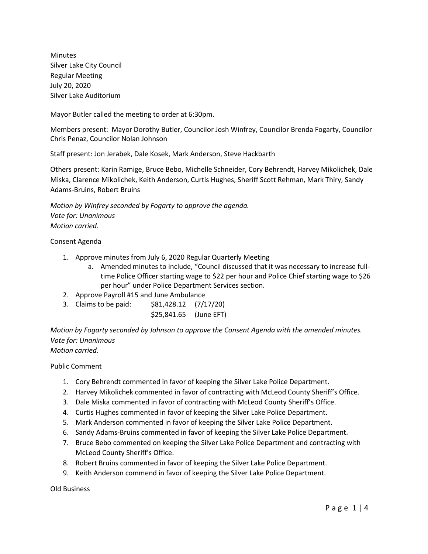Minutes Silver Lake City Council Regular Meeting July 20, 2020 Silver Lake Auditorium

Mayor Butler called the meeting to order at 6:30pm.

Members present: Mayor Dorothy Butler, Councilor Josh Winfrey, Councilor Brenda Fogarty, Councilor Chris Penaz, Councilor Nolan Johnson

Staff present: Jon Jerabek, Dale Kosek, Mark Anderson, Steve Hackbarth

Others present: Karin Ramige, Bruce Bebo, Michelle Schneider, Cory Behrendt, Harvey Mikolichek, Dale Miska, Clarence Mikolichek, Keith Anderson, Curtis Hughes, Sheriff Scott Rehman, Mark Thiry, Sandy Adams-Bruins, Robert Bruins

*Motion by Winfrey seconded by Fogarty to approve the agenda. Vote for: Unanimous Motion carried.*

## Consent Agenda

- 1. Approve minutes from July 6, 2020 Regular Quarterly Meeting
	- a. Amended minutes to include, "Council discussed that it was necessary to increase fulltime Police Officer starting wage to \$22 per hour and Police Chief starting wage to \$26 per hour" under Police Department Services section.
- 2. Approve Payroll #15 and June Ambulance
- 3. Claims to be paid: \$81,428.12 (7/17/20)
	- \$25,841.65 (June EFT)

*Motion by Fogarty seconded by Johnson to approve the Consent Agenda with the amended minutes. Vote for: Unanimous Motion carried.*

Public Comment

- 1. Cory Behrendt commented in favor of keeping the Silver Lake Police Department.
- 2. Harvey Mikolichek commented in favor of contracting with McLeod County Sheriff's Office.
- 3. Dale Miska commented in favor of contracting with McLeod County Sheriff's Office.
- 4. Curtis Hughes commented in favor of keeping the Silver Lake Police Department.
- 5. Mark Anderson commented in favor of keeping the Silver Lake Police Department.
- 6. Sandy Adams-Bruins commented in favor of keeping the Silver Lake Police Department.
- 7. Bruce Bebo commented on keeping the Silver Lake Police Department and contracting with McLeod County Sheriff's Office.
- 8. Robert Bruins commented in favor of keeping the Silver Lake Police Department.
- 9. Keith Anderson commend in favor of keeping the Silver Lake Police Department.

Old Business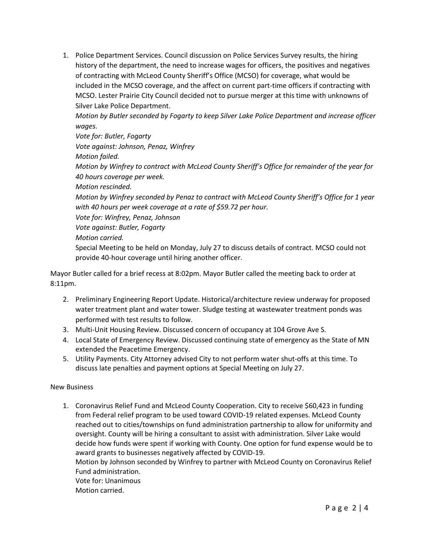1. Police Department Services. Council discussion on Police Services Survey results, the hiring history of the department, the need to increase wages for officers, the positives and negatives of contracting with McLeod County Sheriff's Office (MCSO) for coverage, what would be included in the MCSO coverage, and the affect on current part-time officers if contracting with MCSO. Lester Prairie City Council decided not to pursue merger at this time with unknowns of Silver Lake Police Department.

*Motion by Butler seconded by Fogarty to keep Silver Lake Police Department and increase officer wages.* 

*Vote for: Butler, Fogarty Vote against: Johnson, Penaz, Winfrey Motion failed. Motion by Winfrey to contract with McLeod County Sheriff's Office for remainder of the year for 40 hours coverage per week. Motion rescinded. Motion by Winfrey seconded by Penaz to contract with McLeod County Sheriff's Office for 1 year with 40 hours per week coverage at a rate of \$59.72 per hour. Vote for: Winfrey, Penaz, Johnson Vote against: Butler, Fogarty*

*Motion carried.* 

Special Meeting to be held on Monday, July 27 to discuss details of contract. MCSO could not provide 40-hour coverage until hiring another officer.

Mayor Butler called for a brief recess at 8:02pm. Mayor Butler called the meeting back to order at 8:11pm.

- 2. Preliminary Engineering Report Update. Historical/architecture review underway for proposed water treatment plant and water tower. Sludge testing at wastewater treatment ponds was performed with test results to follow.
- 3. Multi-Unit Housing Review. Discussed concern of occupancy at 104 Grove Ave S.
- 4. Local State of Emergency Review. Discussed continuing state of emergency as the State of MN extended the Peacetime Emergency.
- 5. Utility Payments. City Attorney advised City to not perform water shut-offs at this time. To discuss late penalties and payment options at Special Meeting on July 27.

## New Business

1. Coronavirus Relief Fund and McLeod County Cooperation. City to receive \$60,423 in funding from Federal relief program to be used toward COVID-19 related expenses. McLeod County reached out to cities/townships on fund administration partnership to allow for uniformity and oversight. County will be hiring a consultant to assist with administration. Silver Lake would decide how funds were spent if working with County. One option for fund expense would be to award grants to businesses negatively affected by COVID-19. Motion by Johnson seconded by Winfrey to partner with McLeod County on Coronavirus Relief Fund administration. Vote for: Unanimous

Motion carried.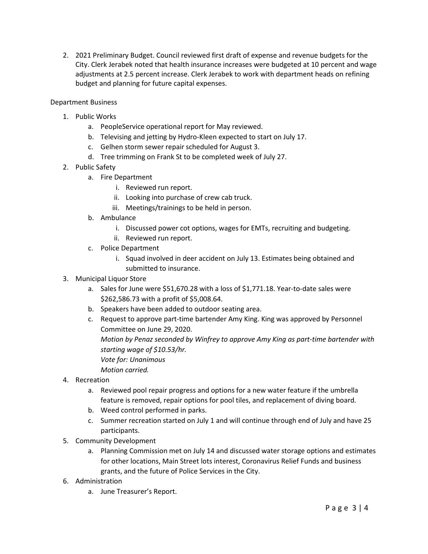2. 2021 Preliminary Budget. Council reviewed first draft of expense and revenue budgets for the City. Clerk Jerabek noted that health insurance increases were budgeted at 10 percent and wage adjustments at 2.5 percent increase. Clerk Jerabek to work with department heads on refining budget and planning for future capital expenses.

Department Business

- 1. Public Works
	- a. PeopleService operational report for May reviewed.
	- b. Televising and jetting by Hydro-Kleen expected to start on July 17.
	- c. Gelhen storm sewer repair scheduled for August 3.
	- d. Tree trimming on Frank St to be completed week of July 27.
- 2. Public Safety
	- a. Fire Department
		- i. Reviewed run report.
		- ii. Looking into purchase of crew cab truck.
		- iii. Meetings/trainings to be held in person.
	- b. Ambulance
		- i. Discussed power cot options, wages for EMTs, recruiting and budgeting.
		- ii. Reviewed run report.
	- c. Police Department
		- i. Squad involved in deer accident on July 13. Estimates being obtained and submitted to insurance.
- 3. Municipal Liquor Store
	- a. Sales for June were \$51,670.28 with a loss of \$1,771.18. Year-to-date sales were \$262,586.73 with a profit of \$5,008.64.
	- b. Speakers have been added to outdoor seating area.
	- c. Request to approve part-time bartender Amy King. King was approved by Personnel Committee on June 29, 2020. *Motion by Penaz seconded by Winfrey to approve Amy King as part-time bartender with starting wage of \$10.53/hr. Vote for: Unanimous Motion carried.*
- 4. Recreation
	- a. Reviewed pool repair progress and options for a new water feature if the umbrella feature is removed, repair options for pool tiles, and replacement of diving board.
	- b. Weed control performed in parks.
	- c. Summer recreation started on July 1 and will continue through end of July and have 25 participants.
- 5. Community Development
	- a. Planning Commission met on July 14 and discussed water storage options and estimates for other locations, Main Street lots interest, Coronavirus Relief Funds and business grants, and the future of Police Services in the City.
- 6. Administration
	- a. June Treasurer's Report.